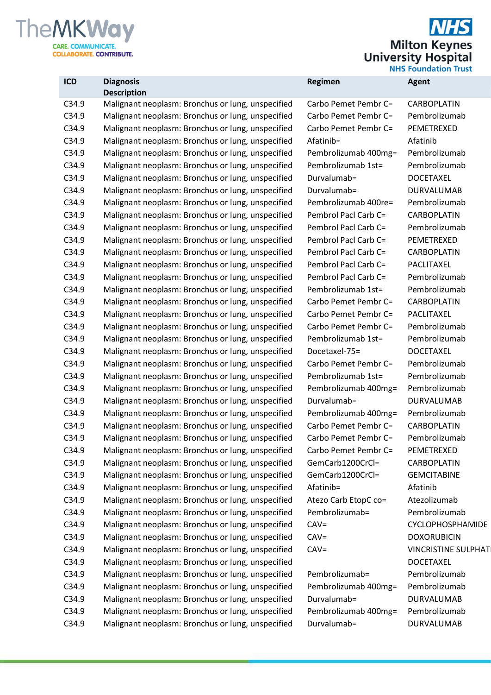

 $\overline{\bm{s}}$ **Milton Keynes**<br>University Hospital<br>NHS Foundation Trust

| ICD   | <b>Diagnosis</b>                                  | Regimen              | <b>Agent</b>               |
|-------|---------------------------------------------------|----------------------|----------------------------|
|       | <b>Description</b>                                |                      |                            |
| C34.9 | Malignant neoplasm: Bronchus or lung, unspecified | Carbo Pemet Pembr C= | CARBOPLATIN                |
| C34.9 | Malignant neoplasm: Bronchus or lung, unspecified | Carbo Pemet Pembr C= | Pembrolizumab              |
| C34.9 | Malignant neoplasm: Bronchus or lung, unspecified | Carbo Pemet Pembr C= | PEMETREXED                 |
| C34.9 | Malignant neoplasm: Bronchus or lung, unspecified | Afatinib=            | Afatinib                   |
| C34.9 | Malignant neoplasm: Bronchus or lung, unspecified | Pembrolizumab 400mg= | Pembrolizumab              |
| C34.9 | Malignant neoplasm: Bronchus or lung, unspecified | Pembrolizumab 1st=   | Pembrolizumab              |
| C34.9 | Malignant neoplasm: Bronchus or lung, unspecified | Durvalumab=          | <b>DOCETAXEL</b>           |
| C34.9 | Malignant neoplasm: Bronchus or lung, unspecified | Durvalumab=          | <b>DURVALUMAB</b>          |
| C34.9 | Malignant neoplasm: Bronchus or lung, unspecified | Pembrolizumab 400re= | Pembrolizumab              |
| C34.9 | Malignant neoplasm: Bronchus or lung, unspecified | Pembrol Pacl Carb C= | CARBOPLATIN                |
| C34.9 | Malignant neoplasm: Bronchus or lung, unspecified | Pembrol Pacl Carb C= | Pembrolizumab              |
| C34.9 | Malignant neoplasm: Bronchus or lung, unspecified | Pembrol Pacl Carb C= | PEMETREXED                 |
| C34.9 | Malignant neoplasm: Bronchus or lung, unspecified | Pembrol Pacl Carb C= | CARBOPLATIN                |
| C34.9 | Malignant neoplasm: Bronchus or lung, unspecified | Pembrol Pacl Carb C= | PACLITAXEL                 |
| C34.9 | Malignant neoplasm: Bronchus or lung, unspecified | Pembrol Pacl Carb C= | Pembrolizumab              |
| C34.9 | Malignant neoplasm: Bronchus or lung, unspecified | Pembrolizumab 1st=   | Pembrolizumab              |
| C34.9 | Malignant neoplasm: Bronchus or lung, unspecified | Carbo Pemet Pembr C= | CARBOPLATIN                |
| C34.9 | Malignant neoplasm: Bronchus or lung, unspecified | Carbo Pemet Pembr C= | PACLITAXEL                 |
| C34.9 | Malignant neoplasm: Bronchus or lung, unspecified | Carbo Pemet Pembr C= | Pembrolizumab              |
| C34.9 | Malignant neoplasm: Bronchus or lung, unspecified | Pembrolizumab 1st=   | Pembrolizumab              |
| C34.9 | Malignant neoplasm: Bronchus or lung, unspecified | Docetaxel-75=        | <b>DOCETAXEL</b>           |
| C34.9 | Malignant neoplasm: Bronchus or lung, unspecified | Carbo Pemet Pembr C= | Pembrolizumab              |
| C34.9 | Malignant neoplasm: Bronchus or lung, unspecified | Pembrolizumab 1st=   | Pembrolizumab              |
| C34.9 | Malignant neoplasm: Bronchus or lung, unspecified | Pembrolizumab 400mg= | Pembrolizumab              |
| C34.9 | Malignant neoplasm: Bronchus or lung, unspecified | Durvalumab=          | <b>DURVALUMAB</b>          |
| C34.9 | Malignant neoplasm: Bronchus or lung, unspecified | Pembrolizumab 400mg= | Pembrolizumab              |
| C34.9 | Malignant neoplasm: Bronchus or lung, unspecified | Carbo Pemet Pembr C= | CARBOPLATIN                |
| C34.9 | Malignant neoplasm: Bronchus or lung, unspecified | Carbo Pemet Pembr C= | Pembrolizumab              |
| C34.9 | Malignant neoplasm: Bronchus or lung, unspecified | Carbo Pemet Pembr C= | PEMETREXED                 |
| C34.9 | Malignant neoplasm: Bronchus or lung, unspecified | GemCarb1200CrCl=     | CARBOPLATIN                |
| C34.9 | Malignant neoplasm: Bronchus or lung, unspecified | GemCarb1200CrCl=     | <b>GEMCITABINE</b>         |
| C34.9 | Malignant neoplasm: Bronchus or lung, unspecified | Afatinib=            | Afatinib                   |
| C34.9 | Malignant neoplasm: Bronchus or lung, unspecified | Atezo Carb EtopC co= | Atezolizumab               |
| C34.9 | Malignant neoplasm: Bronchus or lung, unspecified | Pembrolizumab=       | Pembrolizumab              |
| C34.9 | Malignant neoplasm: Bronchus or lung, unspecified | $CAV =$              | CYCLOPHOSPHAMIDE           |
| C34.9 | Malignant neoplasm: Bronchus or lung, unspecified | $CAV =$              | <b>DOXORUBICIN</b>         |
| C34.9 | Malignant neoplasm: Bronchus or lung, unspecified | $CAV =$              | <b>VINCRISTINE SULPHAT</b> |
| C34.9 | Malignant neoplasm: Bronchus or lung, unspecified |                      | <b>DOCETAXEL</b>           |
| C34.9 | Malignant neoplasm: Bronchus or lung, unspecified | Pembrolizumab=       | Pembrolizumab              |
| C34.9 | Malignant neoplasm: Bronchus or lung, unspecified | Pembrolizumab 400mg= | Pembrolizumab              |
| C34.9 | Malignant neoplasm: Bronchus or lung, unspecified | Durvalumab=          | DURVALUMAB                 |
| C34.9 | Malignant neoplasm: Bronchus or lung, unspecified | Pembrolizumab 400mg= | Pembrolizumab              |
| C34.9 | Malignant neoplasm: Bronchus or lung, unspecified | Durvalumab=          | DURVALUMAB                 |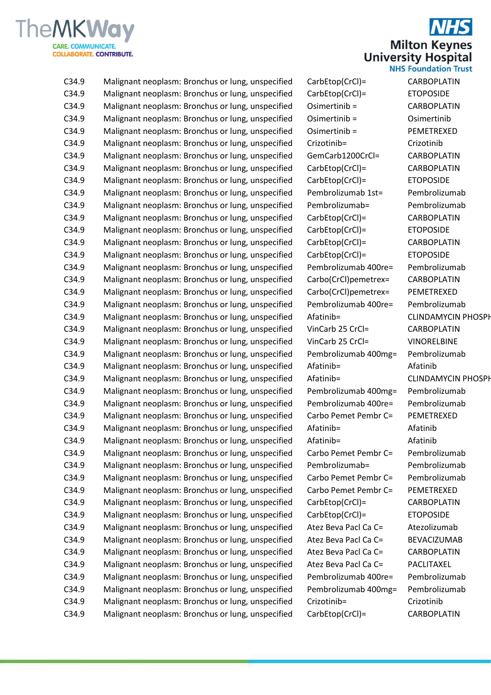

**Milton Keynes University Hospital NHS Foundation Trust** 

C34.9 Malignant neoplasm: Bronchus or lung, unspecified CarbEtop(CrCl)= CARBOPLATIN C34.9 Malignant neoplasm: Bronchus or lung, unspecified CarbEtop(CrCl)= ETOPOSIDE C34.9 Malignant neoplasm: Bronchus or lung, unspecified Osimertinib = CARBOPLATIN C34.9 Malignant neoplasm: Bronchus or lung, unspecified Osimertinib = Osimertinib C34.9 Malignant neoplasm: Bronchus or lung, unspecified Osimertinib = PEMETREXED C34.9 Malignant neoplasm: Bronchus or lung, unspecified Crizotinib= Crizotinib C34.9 Malignant neoplasm: Bronchus or lung, unspecified GemCarb1200CrCl= CARBOPLATIN C34.9 Malignant neoplasm: Bronchus or lung, unspecified CarbEtop(CrCl)= CARBOPLATIN C34.9 Malignant neoplasm: Bronchus or lung, unspecified CarbEtop(CrCl)= ETOPOSIDE C34.9 Malignant neoplasm: Bronchus or lung, unspecified Pembrolizumab 1st= Pembrolizumab C34.9 Malignant neoplasm: Bronchus or lung, unspecified Pembrolizumab= Pembrolizumab C34.9 Malignant neoplasm: Bronchus or lung, unspecified CarbEtop(CrCl)= CARBOPLATIN C34.9 Malignant neoplasm: Bronchus or lung, unspecified CarbEtop(CrCl)= ETOPOSIDE C34.9 Malignant neoplasm: Bronchus or lung, unspecified CarbEtop(CrCl)= CARBOPLATIN C34.9 Malignant neoplasm: Bronchus or lung, unspecified CarbEtop(CrCl)= ETOPOSIDE C34.9 Malignant neoplasm: Bronchus or lung, unspecified Pembrolizumab 400re= Pembrolizumab C34.9 Malignant neoplasm: Bronchus or lung, unspecified Carbo(CrCl)pemetrex= CARBOPLATIN C34.9 Malignant neoplasm: Bronchus or lung, unspecified Carbo(CrCl)pemetrex= PEMETREXED C34.9 Malignant neoplasm: Bronchus or lung, unspecified Pembrolizumab 400re= Pembrolizumab C34.9 Malignant neoplasm: Bronchus or lung, unspecified Afatinib= CLINDAMYCIN PHOSPH C34.9 Malignant neoplasm: Bronchus or lung, unspecified VinCarb 25 CrCl= CARBOPLATIN C34.9 Malignant neoplasm: Bronchus or lung, unspecified VinCarb 25 CrCl= VINORELBINE C34.9 Malignant neoplasm: Bronchus or lung, unspecified Pembrolizumab 400mg= Pembrolizumab C34.9 Malignant neoplasm: Bronchus or lung, unspecified Afatinib= Afatinib C34.9 Malignant neoplasm: Bronchus or lung, unspecified Afatinib= CLINDAMYCIN PHOSPH C34.9 Malignant neoplasm: Bronchus or lung, unspecified Pembrolizumab 400mg= Pembrolizumab C34.9 Malignant neoplasm: Bronchus or lung, unspecified Pembrolizumab 400re= Pembrolizumab C34.9 Malignant neoplasm: Bronchus or lung, unspecified Carbo Pemet Pembr C= PEMETREXED C34.9 Malignant neoplasm: Bronchus or lung, unspecified Afatinib= Afatinib C34.9 Malignant neoplasm: Bronchus or lung, unspecified Afatinib= Afatinib C34.9 Malignant neoplasm: Bronchus or lung, unspecified Carbo Pemet Pembr C= Pembrolizumab C34.9 Malignant neoplasm: Bronchus or lung, unspecified Pembrolizumab= Pembrolizumab C34.9 Malignant neoplasm: Bronchus or lung, unspecified Carbo Pemet Pembr C= Pembrolizumab C34.9 Malignant neoplasm: Bronchus or lung, unspecified Carbo Pemet Pembr C= PEMETREXED C34.9 Malignant neoplasm: Bronchus or lung, unspecified CarbEtop(CrCl)= CARBOPLATIN C34.9 Malignant neoplasm: Bronchus or lung, unspecified CarbEtop(CrCl)= ETOPOSIDE C34.9 Malignant neoplasm: Bronchus or lung, unspecified Atez Beva Pacl Ca C= Atezolizumab C34.9 Malignant neoplasm: Bronchus or lung, unspecified Atez Beva Pacl Ca C= BEVACIZUMAB C34.9 Malignant neoplasm: Bronchus or lung, unspecified Atez Beva Pacl Ca C= CARBOPLATIN C34.9 Malignant neoplasm: Bronchus or lung, unspecified Atez Beva Pacl Ca C= PACLITAXEL C34.9 Malignant neoplasm: Bronchus or lung, unspecified Pembrolizumab 400re= Pembrolizumab C34.9 Malignant neoplasm: Bronchus or lung, unspecified Pembrolizumab 400mg= Pembrolizumab C34.9 Malignant neoplasm: Bronchus or lung, unspecified Crizotinib= Crizotinib C34.9 Malignant neoplasm: Bronchus or lung, unspecified CarbEtop(CrCl)= CARBOPLATIN